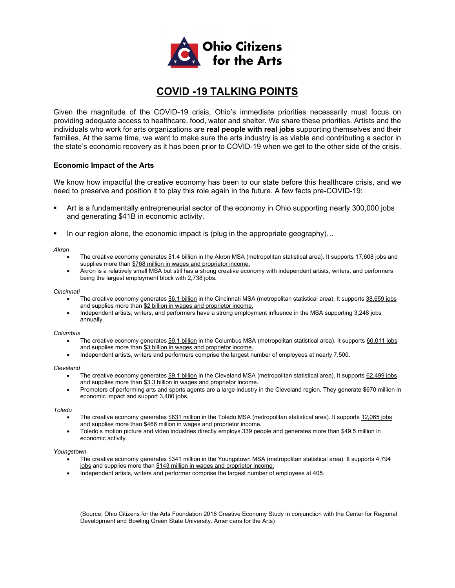

# **COVID -19 TALKING POINTS**

Given the magnitude of the COVID-19 crisis, Ohio's immediate priorities necessarily must focus on providing adequate access to healthcare, food, water and shelter. We share these priorities. Artists and the individuals who work for arts organizations are **real people with real jobs** supporting themselves and their families. At the same time, we want to make sure the arts industry is as viable and contributing a sector in the state's economic recovery as it has been prior to COVID-19 when we get to the other side of the crisis.

### **Economic Impact of the Arts**

We know how impactful the creative economy has been to our state before this healthcare crisis, and we need to preserve and position it to play this role again in the future. A few facts pre-COVID-19:

- Art is a fundamentally entrepreneurial sector of the economy in Ohio supporting nearly 300,000 jobs and generating \$41B in economic activity.
- In our region alone, the economic impact is (plug in the appropriate geography)...

#### *Akron*

- The creative economy generates \$1.4 billion in the Akron MSA (metropolitan statistical area). It supports 17,608 jobs and supplies more than \$768 million in wages and proprietor income.
- Akron is a relatively small MSA but still has a strong creative economy with independent artists, writers, and performers being the largest employment block with 2,738 jobs.

#### *Cincinnati*

- The creative economy generates \$6.1 billion in the Cincinnati MSA (metropolitan statistical area). It supports 38,659 jobs and supplies more than \$2 billion in wages and proprietor income.
- Independent artists, writers, and performers have a strong employment influence in the MSA supporting 3,248 jobs annually.

#### *Columbus*

- The creative economy generates \$9.1 billion in the Columbus MSA (metropolitan statistical area). It supports 60,011 jobs and supplies more than \$3 billion in wages and proprietor income.
- Independent artists, writers and performers comprise the largest number of employees at nearly 7,500.

#### *Cleveland*

- The creative economy generates \$9.1 billion in the Cleveland MSA (metropolitan statistical area). It supports 62,499 jobs and supplies more than \$3.3 billion in wages and proprietor income.
- Promoters of performing arts and sports agents are a large industry in the Cleveland region. They generate \$670 million in economic impact and support 3,480 jobs.

#### *Toledo*

- The creative economy generates \$831 million in the Toledo MSA (metropolitan statistical area). It supports 12,065 jobs and supplies more than \$466 million in wages and proprietor income.
- Toledo's motion picture and video industries directly employs 339 people and generates more than \$49.5 million in economic activity.

#### *Youngstown*

- The creative economy generates \$341 million in the Youngstown MSA (metropolitan statistical area). It supports 4,794 jobs and supplies more than \$143 million in wages and proprietor income.
- Independent artists, writers and performer comprise the largest number of employees at 405.

(Source: Ohio Citizens for the Arts Foundation 2018 Creative Economy Study in conjunction with the Center for Regional Development and Bowling Green State University. Americans for the Arts)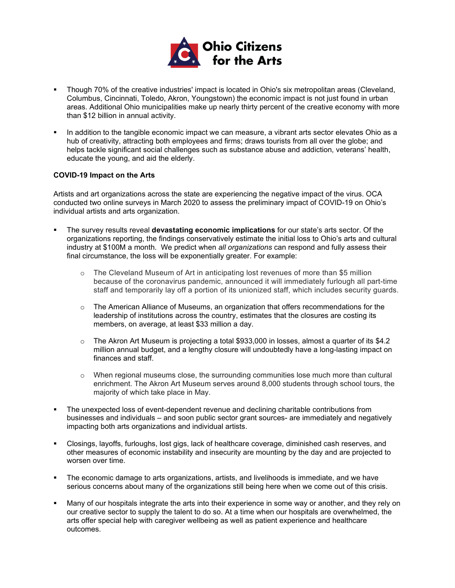

- Though 70% of the creative industries' impact is located in Ohio's six metropolitan areas (Cleveland, Columbus, Cincinnati, Toledo, Akron, Youngstown) the economic impact is not just found in urban areas. Additional Ohio municipalities make up nearly thirty percent of the creative economy with more than \$12 billion in annual activity.
- In addition to the tangible economic impact we can measure, a vibrant arts sector elevates Ohio as a hub of creativity, attracting both employees and firms; draws tourists from all over the globe; and helps tackle significant social challenges such as substance abuse and addiction, veterans' health, educate the young, and aid the elderly.

### **COVID-19 Impact on the Arts**

Artists and art organizations across the state are experiencing the negative impact of the virus. OCA conducted two online surveys in March 2020 to assess the preliminary impact of COVID-19 on Ohio's individual artists and arts organization.

- The survey results reveal **devastating economic implications** for our state's arts sector. Of the organizations reporting, the findings conservatively estimate the initial loss to Ohio's arts and cultural industry at \$100M a month. We predict when *all organizations* can respond and fully assess their final circumstance, the loss will be exponentially greater. For example:
	- o The Cleveland Museum of Art in anticipating lost revenues of more than \$5 million because of the coronavirus pandemic, announced it will immediately furlough all part-time staff and temporarily lay off a portion of its unionized staff, which includes security guards.
	- $\circ$  The American Alliance of Museums, an organization that offers recommendations for the leadership of institutions across the country, estimates that the closures are costing its members, on average, at least \$33 million a day.
	- o The Akron Art Museum is projecting a total \$933,000 in losses, almost a quarter of its \$4.2 million annual budget, and a lengthy closure will undoubtedly have a long-lasting impact on finances and staff.
	- o When regional museums close, the surrounding communities lose much more than cultural enrichment. The Akron Art Museum serves around 8,000 students through school tours, the majority of which take place in May.
- The unexpected loss of event-dependent revenue and declining charitable contributions from businesses and individuals – and soon public sector grant sources- are immediately and negatively impacting both arts organizations and individual artists.
- Closings, layoffs, furloughs, lost gigs, lack of healthcare coverage, diminished cash reserves, and other measures of economic instability and insecurity are mounting by the day and are projected to worsen over time.
- The economic damage to arts organizations, artists, and livelihoods is immediate, and we have serious concerns about many of the organizations still being here when we come out of this crisis.
- Many of our hospitals integrate the arts into their experience in some way or another, and they rely on our creative sector to supply the talent to do so. At a time when our hospitals are overwhelmed, the arts offer special help with caregiver wellbeing as well as patient experience and healthcare outcomes.